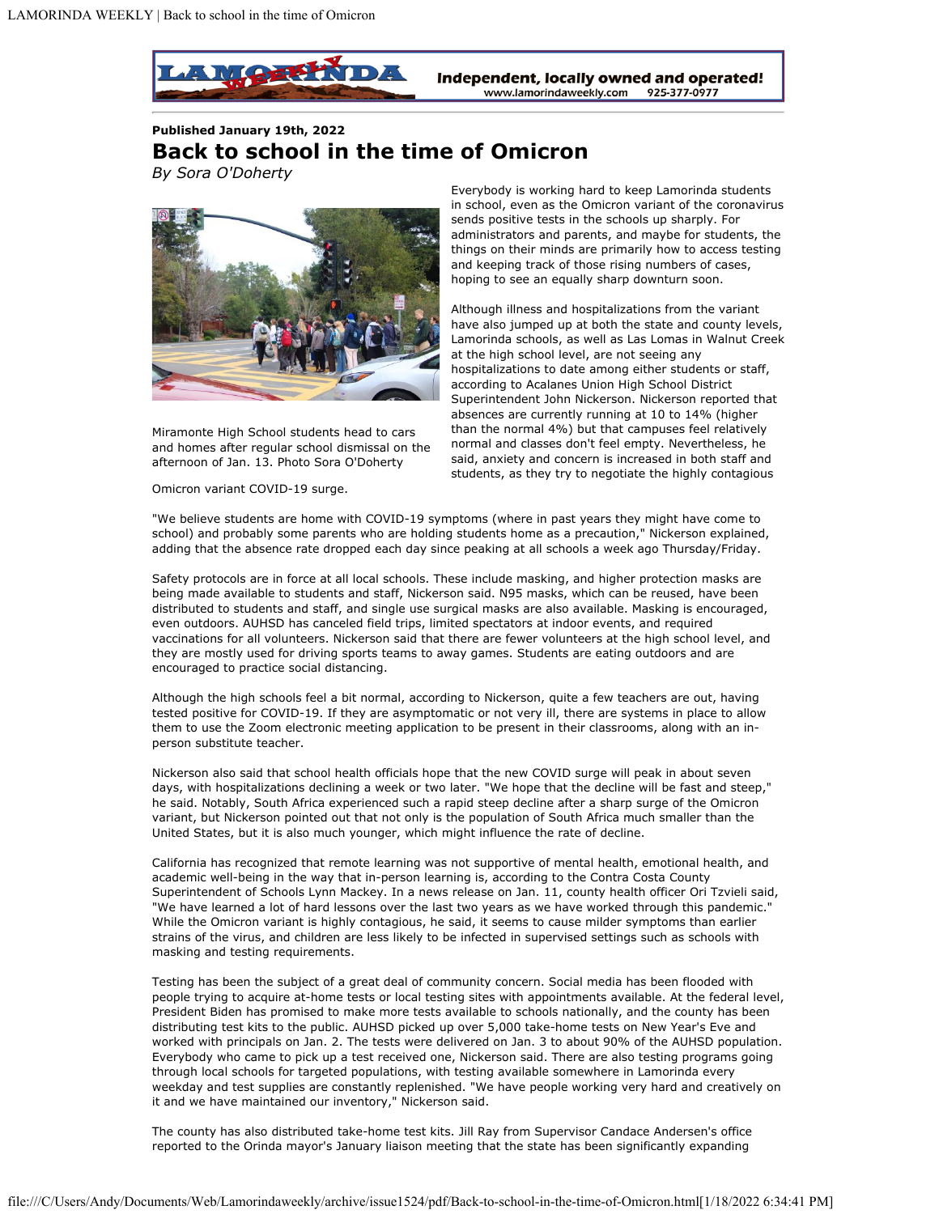

## **Published January 19th, 2022 Back to school in the time of Omicron** *By Sora O'Doherty*



Miramonte High School students head to cars and homes after regular school dismissal on the afternoon of Jan. 13. Photo Sora O'Doherty

Omicron variant COVID-19 surge.

Everybody is working hard to keep Lamorinda students in school, even as the Omicron variant of the coronavirus sends positive tests in the schools up sharply. For administrators and parents, and maybe for students, the things on their minds are primarily how to access testing and keeping track of those rising numbers of cases, hoping to see an equally sharp downturn soon.

Although illness and hospitalizations from the variant have also jumped up at both the state and county levels, Lamorinda schools, as well as Las Lomas in Walnut Creek at the high school level, are not seeing any hospitalizations to date among either students or staff, according to Acalanes Union High School District Superintendent John Nickerson. Nickerson reported that absences are currently running at 10 to 14% (higher than the normal 4%) but that campuses feel relatively normal and classes don't feel empty. Nevertheless, he said, anxiety and concern is increased in both staff and students, as they try to negotiate the highly contagious

"We believe students are home with COVID-19 symptoms (where in past years they might have come to school) and probably some parents who are holding students home as a precaution," Nickerson explained, adding that the absence rate dropped each day since peaking at all schools a week ago Thursday/Friday.

Safety protocols are in force at all local schools. These include masking, and higher protection masks are being made available to students and staff, Nickerson said. N95 masks, which can be reused, have been distributed to students and staff, and single use surgical masks are also available. Masking is encouraged, even outdoors. AUHSD has canceled field trips, limited spectators at indoor events, and required vaccinations for all volunteers. Nickerson said that there are fewer volunteers at the high school level, and they are mostly used for driving sports teams to away games. Students are eating outdoors and are encouraged to practice social distancing.

Although the high schools feel a bit normal, according to Nickerson, quite a few teachers are out, having tested positive for COVID-19. If they are asymptomatic or not very ill, there are systems in place to allow them to use the Zoom electronic meeting application to be present in their classrooms, along with an inperson substitute teacher.

Nickerson also said that school health officials hope that the new COVID surge will peak in about seven days, with hospitalizations declining a week or two later. "We hope that the decline will be fast and steep," he said. Notably, South Africa experienced such a rapid steep decline after a sharp surge of the Omicron variant, but Nickerson pointed out that not only is the population of South Africa much smaller than the United States, but it is also much younger, which might influence the rate of decline.

California has recognized that remote learning was not supportive of mental health, emotional health, and academic well-being in the way that in-person learning is, according to the Contra Costa County Superintendent of Schools Lynn Mackey. In a news release on Jan. 11, county health officer Ori Tzvieli said, "We have learned a lot of hard lessons over the last two years as we have worked through this pandemic." While the Omicron variant is highly contagious, he said, it seems to cause milder symptoms than earlier strains of the virus, and children are less likely to be infected in supervised settings such as schools with masking and testing requirements.

Testing has been the subject of a great deal of community concern. Social media has been flooded with people trying to acquire at-home tests or local testing sites with appointments available. At the federal level, President Biden has promised to make more tests available to schools nationally, and the county has been distributing test kits to the public. AUHSD picked up over 5,000 take-home tests on New Year's Eve and worked with principals on Jan. 2. The tests were delivered on Jan. 3 to about 90% of the AUHSD population. Everybody who came to pick up a test received one, Nickerson said. There are also testing programs going through local schools for targeted populations, with testing available somewhere in Lamorinda every weekday and test supplies are constantly replenished. "We have people working very hard and creatively on it and we have maintained our inventory," Nickerson said.

The county has also distributed take-home test kits. Jill Ray from Supervisor Candace Andersen's office reported to the Orinda mayor's January liaison meeting that the state has been significantly expanding